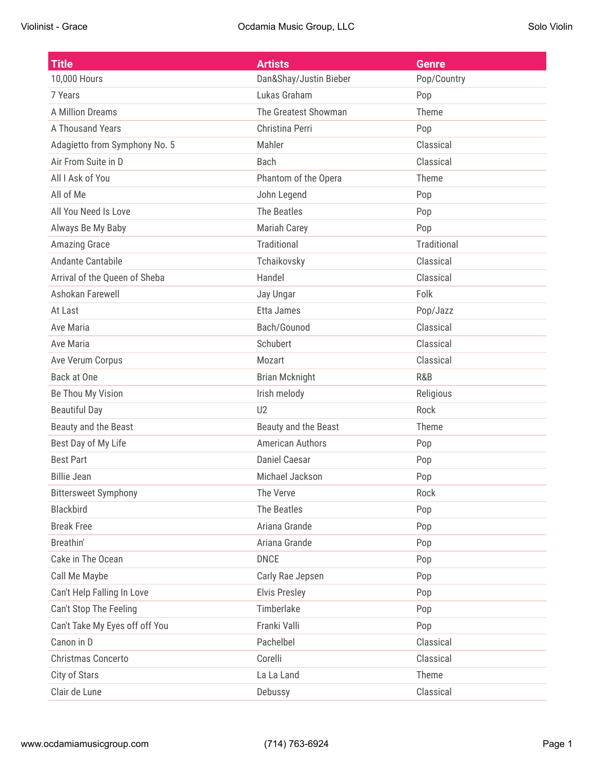| <b>Title</b>                   | <b>Artists</b>          | <b>Genre</b>       |
|--------------------------------|-------------------------|--------------------|
| 10,000 Hours                   | Dan&Shay/Justin Bieber  | Pop/Country        |
| 7 Years                        | Lukas Graham            | Pop                |
| <b>A Million Dreams</b>        | The Greatest Showman    | Theme              |
| A Thousand Years               | Christina Perri         | Pop                |
| Adagietto from Symphony No. 5  | Mahler                  | Classical          |
| Air From Suite in D            | <b>Bach</b>             | Classical          |
| All I Ask of You               | Phantom of the Opera    | Theme              |
| All of Me                      | John Legend             | Pop                |
| All You Need Is Love           | The Beatles             | Pop                |
| Always Be My Baby              | <b>Mariah Carey</b>     | Pop                |
| <b>Amazing Grace</b>           | Traditional             | <b>Traditional</b> |
| Andante Cantabile              | Tchaikovsky             | Classical          |
| Arrival of the Queen of Sheba  | Handel                  | Classical          |
| Ashokan Farewell               | Jay Ungar               | Folk               |
| At Last                        | Etta James              | Pop/Jazz           |
| Ave Maria                      | Bach/Gounod             | Classical          |
| Ave Maria                      | Schubert                | Classical          |
| Ave Verum Corpus               | Mozart                  | Classical          |
| Back at One                    | <b>Brian Mcknight</b>   | R&B                |
| Be Thou My Vision              | Irish melody            | Religious          |
| <b>Beautiful Day</b>           | U2                      | Rock               |
| Beauty and the Beast           | Beauty and the Beast    | Theme              |
| Best Day of My Life            | <b>American Authors</b> | Pop                |
| <b>Best Part</b>               | <b>Daniel Caesar</b>    | Pop                |
| <b>Billie Jean</b>             | Michael Jackson         | Pop                |
| <b>Bittersweet Symphony</b>    | The Verve               | Rock               |
| Blackbird                      | The Beatles             | Pop                |
| <b>Break Free</b>              | Ariana Grande           | Pop                |
| Breathin'                      | Ariana Grande           | Pop                |
| Cake in The Ocean              | <b>DNCE</b>             | Pop                |
| Call Me Maybe                  | Carly Rae Jepsen        | Pop                |
| Can't Help Falling In Love     | <b>Elvis Presley</b>    | Pop                |
| Can't Stop The Feeling         | Timberlake              | Pop                |
| Can't Take My Eyes off off You | Franki Valli            | Pop                |
| Canon in D                     | Pachelbel               | Classical          |
| Christmas Concerto             | Corelli                 | Classical          |
| City of Stars                  | La La Land              | Theme              |
| Clair de Lune                  | Debussy                 | Classical          |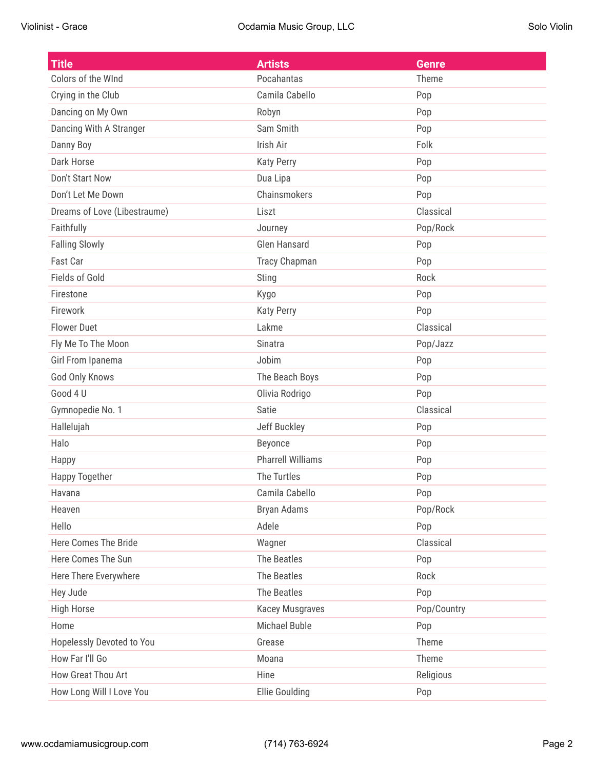| <b>Title</b>                 | <b>Artists</b>           | <b>Genre</b> |
|------------------------------|--------------------------|--------------|
| Colors of the WInd           | Pocahantas               | Theme        |
| Crying in the Club           | Camila Cabello           | Pop          |
| Dancing on My Own            | Robyn                    | Pop          |
| Dancing With A Stranger      | Sam Smith                | Pop          |
| Danny Boy                    | Irish Air                | Folk         |
| Dark Horse                   | <b>Katy Perry</b>        | Pop          |
| Don't Start Now              | Dua Lipa                 | Pop          |
| Don't Let Me Down            | Chainsmokers             | Pop          |
| Dreams of Love (Libestraume) | Liszt                    | Classical    |
| Faithfully                   | Journey                  | Pop/Rock     |
| <b>Falling Slowly</b>        | <b>Glen Hansard</b>      | Pop          |
| Fast Car                     | <b>Tracy Chapman</b>     | Pop          |
| <b>Fields of Gold</b>        | <b>Sting</b>             | Rock         |
| Firestone                    | Kygo                     | Pop          |
| Firework                     | <b>Katy Perry</b>        | Pop          |
| <b>Flower Duet</b>           | Lakme                    | Classical    |
| Fly Me To The Moon           | Sinatra                  | Pop/Jazz     |
| Girl From Ipanema            | Jobim                    | Pop          |
| God Only Knows               | The Beach Boys           | Pop          |
| Good 4 U                     | Olivia Rodrigo           | Pop          |
| Gymnopedie No. 1             | Satie                    | Classical    |
| Hallelujah                   | Jeff Buckley             | Pop          |
| Halo                         | Beyonce                  | Pop          |
| Happy                        | <b>Pharrell Williams</b> | Pop          |
| <b>Happy Together</b>        | <b>The Turtles</b>       | Pop          |
| Havana                       | Camila Cabello           | Pop          |
| Heaven                       | Bryan Adams              | Pop/Rock     |
| Hello                        | Adele                    | Pop          |
| Here Comes The Bride         | Wagner                   | Classical    |
| Here Comes The Sun           | The Beatles              | Pop          |
| Here There Everywhere        | The Beatles              | Rock         |
| Hey Jude                     | The Beatles              | Pop          |
| <b>High Horse</b>            | <b>Kacey Musgraves</b>   | Pop/Country  |
| Home                         | <b>Michael Buble</b>     | Pop          |
| Hopelessly Devoted to You    | Grease                   | Theme        |
| How Far I'll Go              | Moana                    | Theme        |
| How Great Thou Art           | Hine                     | Religious    |
| How Long Will I Love You     | Ellie Goulding           | Pop          |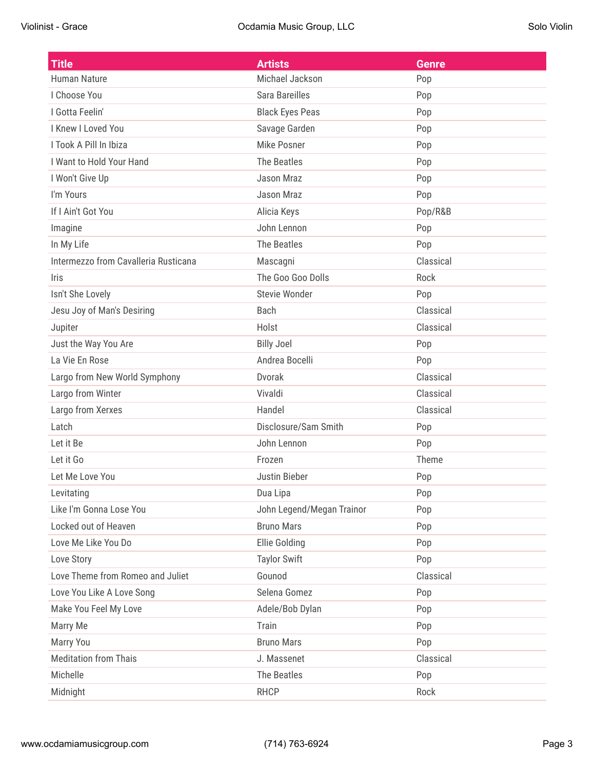| <b>Title</b>                         | <b>Artists</b>            | <b>Genre</b> |
|--------------------------------------|---------------------------|--------------|
| Human Nature                         | Michael Jackson           | Pop          |
| I Choose You                         | Sara Bareilles            | Pop          |
| I Gotta Feelin'                      | <b>Black Eyes Peas</b>    | Pop          |
| I Knew I Loved You                   | Savage Garden             | Pop          |
| I Took A Pill In Ibiza               | <b>Mike Posner</b>        | Pop          |
| I Want to Hold Your Hand             | The Beatles               | Pop          |
| I Won't Give Up                      | Jason Mraz                | Pop          |
| I'm Yours                            | Jason Mraz                | Pop          |
| If I Ain't Got You                   | Alicia Keys               | Pop/R&B      |
| Imagine                              | John Lennon               | Pop          |
| In My Life                           | <b>The Beatles</b>        | Pop          |
| Intermezzo from Cavalleria Rusticana | Mascagni                  | Classical    |
| <b>Iris</b>                          | The Goo Goo Dolls         | Rock         |
| Isn't She Lovely                     | <b>Stevie Wonder</b>      | Pop          |
| Jesu Joy of Man's Desiring           | <b>Bach</b>               | Classical    |
| Jupiter                              | Holst                     | Classical    |
| Just the Way You Are                 | <b>Billy Joel</b>         | Pop          |
| La Vie En Rose                       | Andrea Bocelli            | Pop          |
| Largo from New World Symphony        | Dvorak                    | Classical    |
| Largo from Winter                    | Vivaldi                   | Classical    |
| Largo from Xerxes                    | Handel                    | Classical    |
| Latch                                | Disclosure/Sam Smith      | Pop          |
| Let it Be                            | John Lennon               | Pop          |
| Let it Go                            | Frozen                    | Theme        |
| Let Me Love You                      | Justin Bieber             | Pop          |
| Levitating                           | Dua Lipa                  | Pop          |
| Like I'm Gonna Lose You              | John Legend/Megan Trainor | Pop          |
| Locked out of Heaven                 | <b>Bruno Mars</b>         | Pop          |
| Love Me Like You Do                  | <b>Ellie Golding</b>      | Pop          |
| Love Story                           | <b>Taylor Swift</b>       | Pop          |
| Love Theme from Romeo and Juliet     | Gounod                    | Classical    |
| Love You Like A Love Song            | Selena Gomez              | Pop          |
| Make You Feel My Love                | Adele/Bob Dylan           | Pop          |
| Marry Me                             | Train                     | Pop          |
| Marry You                            | <b>Bruno Mars</b>         | Pop          |
| <b>Meditation from Thais</b>         | J. Massenet               | Classical    |
| Michelle                             | The Beatles               | Pop          |
| Midnight                             | <b>RHCP</b>               | Rock         |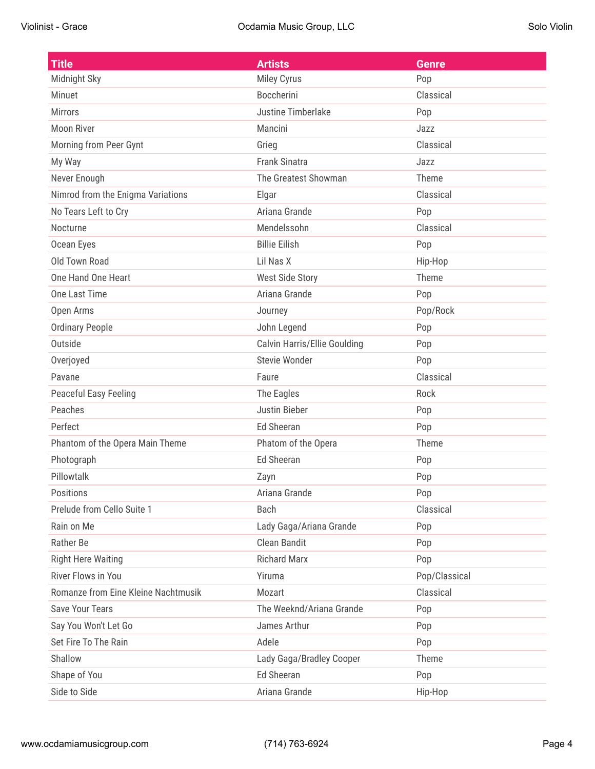| <b>Title</b>                        | <b>Artists</b>                      | <b>Genre</b>  |
|-------------------------------------|-------------------------------------|---------------|
| Midnight Sky                        | Miley Cyrus                         | Pop           |
| <b>Minuet</b>                       | <b>Boccherini</b>                   | Classical     |
| <b>Mirrors</b>                      | <b>Justine Timberlake</b>           | Pop           |
| <b>Moon River</b>                   | Mancini                             | Jazz          |
| Morning from Peer Gynt              | Grieg                               | Classical     |
| My Way                              | <b>Frank Sinatra</b>                | Jazz          |
| Never Enough                        | The Greatest Showman                | Theme         |
| Nimrod from the Enigma Variations   | Elgar                               | Classical     |
| No Tears Left to Cry                | Ariana Grande                       | Pop           |
| Nocturne                            | Mendelssohn                         | Classical     |
| Ocean Eyes                          | <b>Billie Eilish</b>                | Pop           |
| <b>Old Town Road</b>                | Lil Nas X                           | Hip-Hop       |
| One Hand One Heart                  | <b>West Side Story</b>              | Theme         |
| One Last Time                       | Ariana Grande                       | Pop           |
| Open Arms                           | Journey                             | Pop/Rock      |
| <b>Ordinary People</b>              | John Legend                         | Pop           |
| Outside                             | <b>Calvin Harris/Ellie Goulding</b> | Pop           |
| Overjoyed                           | <b>Stevie Wonder</b>                | Pop           |
| Pavane                              | Faure                               | Classical     |
| <b>Peaceful Easy Feeling</b>        | The Eagles                          | Rock          |
| Peaches                             | <b>Justin Bieber</b>                | Pop           |
| Perfect                             | <b>Ed Sheeran</b>                   | Pop           |
| Phantom of the Opera Main Theme     | Phatom of the Opera                 | Theme         |
| Photograph                          | <b>Ed Sheeran</b>                   | Pop           |
| Pillowtalk                          | Zayn                                | Pop           |
| <b>Positions</b>                    | Ariana Grande                       | Pop           |
| Prelude from Cello Suite 1          | Bach                                | Classical     |
| Rain on Me                          | Lady Gaga/Ariana Grande             | Pop           |
| Rather Be                           | <b>Clean Bandit</b>                 | Pop           |
| <b>Right Here Waiting</b>           | <b>Richard Marx</b>                 | Pop           |
| River Flows in You                  | Yiruma                              | Pop/Classical |
| Romanze from Eine Kleine Nachtmusik | Mozart                              | Classical     |
| <b>Save Your Tears</b>              | The Weeknd/Ariana Grande            | Pop           |
| Say You Won't Let Go                | James Arthur                        | Pop           |
| Set Fire To The Rain                | Adele                               | Pop           |
| Shallow                             | Lady Gaga/Bradley Cooper            | Theme         |
| Shape of You                        | <b>Ed Sheeran</b>                   | Pop           |
| Side to Side                        | Ariana Grande                       | Hip-Hop       |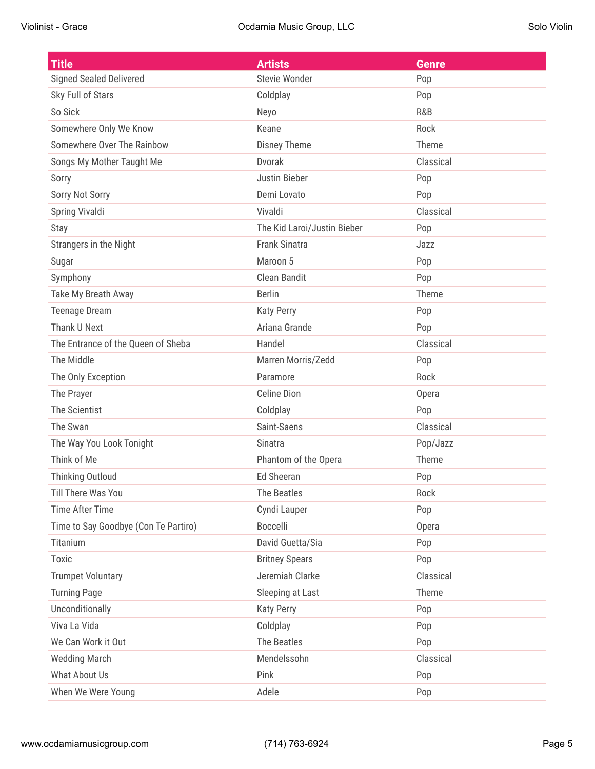| <b>Title</b>                         | <b>Artists</b>              | <b>Genre</b> |
|--------------------------------------|-----------------------------|--------------|
| <b>Signed Sealed Delivered</b>       | <b>Stevie Wonder</b>        | Pop          |
| Sky Full of Stars                    | Coldplay                    | Pop          |
| So Sick                              | Neyo                        | R&B          |
| Somewhere Only We Know               | Keane                       | Rock         |
| Somewhere Over The Rainbow           | <b>Disney Theme</b>         | Theme        |
| Songs My Mother Taught Me            | <b>Dvorak</b>               | Classical    |
| Sorry                                | <b>Justin Bieber</b>        | Pop          |
| Sorry Not Sorry                      | Demi Lovato                 | Pop          |
| Spring Vivaldi                       | Vivaldi                     | Classical    |
| Stay                                 | The Kid Laroi/Justin Bieber | Pop          |
| Strangers in the Night               | <b>Frank Sinatra</b>        | Jazz         |
| Sugar                                | Maroon 5                    | Pop          |
| Symphony                             | Clean Bandit                | Pop          |
| Take My Breath Away                  | <b>Berlin</b>               | Theme        |
| <b>Teenage Dream</b>                 | <b>Katy Perry</b>           | Pop          |
| Thank U Next                         | Ariana Grande               | Pop          |
| The Entrance of the Queen of Sheba   | Handel                      | Classical    |
| The Middle                           | Marren Morris/Zedd          | Pop          |
| The Only Exception                   | Paramore                    | Rock         |
| The Prayer                           | <b>Celine Dion</b>          | Opera        |
| The Scientist                        | Coldplay                    | Pop          |
| The Swan                             | Saint-Saens                 | Classical    |
| The Way You Look Tonight             | <b>Sinatra</b>              | Pop/Jazz     |
| Think of Me                          | Phantom of the Opera        | Theme        |
| <b>Thinking Outloud</b>              | <b>Ed Sheeran</b>           | Pop          |
| <b>Till There Was You</b>            | <b>The Beatles</b>          | Rock         |
| <b>Time After Time</b>               | Cyndi Lauper                | Pop          |
| Time to Say Goodbye (Con Te Partiro) | <b>Boccelli</b>             | Opera        |
| Titanium                             | David Guetta/Sia            | Pop          |
| Toxic                                | <b>Britney Spears</b>       | Pop          |
| <b>Trumpet Voluntary</b>             | Jeremiah Clarke             | Classical    |
| <b>Turning Page</b>                  | Sleeping at Last            | Theme        |
| Unconditionally                      | <b>Katy Perry</b>           | Pop          |
| Viva La Vida                         | Coldplay                    | Pop          |
| We Can Work it Out                   | The Beatles                 | Pop          |
| <b>Wedding March</b>                 | Mendelssohn                 | Classical    |
| What About Us                        | Pink                        | Pop          |
| When We Were Young                   | Adele                       | Pop          |